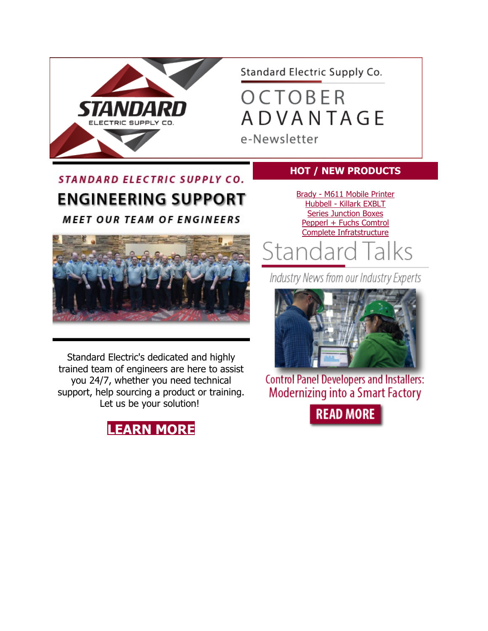

Standard Electric Supply Co.

OCTOBER **ADVANTAGE** 

e-Newsletter

## **STANDARD ELECTRIC SUPPLY CO. ENGINEERING SUPPORT**

**MEET OUR TEAM OF ENGINEERS** 



Standard Electric's dedicated and highly trained team of engineers are here to assist you 24/7, whether you need technical support, help sourcing a product or training. Let us be your solution!



### **HOT / NEW PRODUCTS**

Brady - [M611 Mobile Printer](http://www.mmsend72.com/link.cfm?r=YsuKdpUxD5Jzbpka39Y24A%7E%7E&pe=HPBhT5uwpM0jMWy_hUgE8rvgS7D4yrSYIThKknbUn4Ny66uHnT9fYSXo2SyRfZ4amuRNjjz8IwQ8xX3B-W__mQ%7E%7E&t=nhV5djUGmrKkjD4TodhXVQ%7E%7E) Hubbell - [Killark EXBLT](http://www.mmsend72.com/link.cfm?r=YsuKdpUxD5Jzbpka39Y24A%7E%7E&pe=cwLuLkJMwnm_-_AX_l5m4FV4x5bAGh2yYUi1fLjwTGKTNN2-XTjH_ghMZhIjAtZDyem74nVrcTF52RVoBxMgkQ%7E%7E&t=nhV5djUGmrKkjD4TodhXVQ%7E%7E)  [Series Junction Boxes](http://www.mmsend72.com/link.cfm?r=YsuKdpUxD5Jzbpka39Y24A%7E%7E&pe=cwLuLkJMwnm_-_AX_l5m4FV4x5bAGh2yYUi1fLjwTGKTNN2-XTjH_ghMZhIjAtZDyem74nVrcTF52RVoBxMgkQ%7E%7E&t=nhV5djUGmrKkjD4TodhXVQ%7E%7E) [Pepperl + Fuchs Comtrol](http://www.mmsend72.com/link.cfm?r=YsuKdpUxD5Jzbpka39Y24A%7E%7E&pe=UmvCT9u4bB4_U_i3AQvSNyVOkSWkYxskbtZn86hGlVY3RxdPXnoOYHXD3AZ101ylPGDJaMgkb2L4nQHujqTPBA%7E%7E&t=nhV5djUGmrKkjD4TodhXVQ%7E%7E)  [Complete Infratstructure](http://www.mmsend72.com/link.cfm?r=YsuKdpUxD5Jzbpka39Y24A%7E%7E&pe=UmvCT9u4bB4_U_i3AQvSNyVOkSWkYxskbtZn86hGlVY3RxdPXnoOYHXD3AZ101ylPGDJaMgkb2L4nQHujqTPBA%7E%7E&t=nhV5djUGmrKkjD4TodhXVQ%7E%7E)

Standard Talks

Industry News from our Industry Experts



**Control Panel Developers and Installers: Modernizing into a Smart Factory** 

**READ MORE**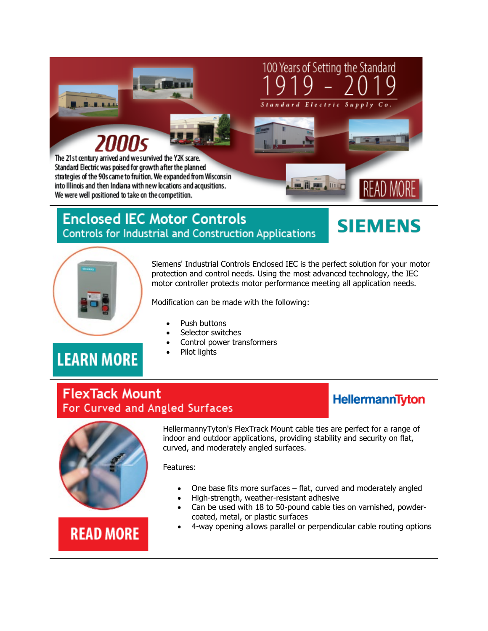

strategies of the 90s came to fruition. We expanded from Wisconsin into Illinois and then Indiana with new locations and acqusitions. We were well positioned to take on the competition.

## **Enclosed IEC Motor Controls Controls for Industrial and Construction Applications**



**READ MORE** 



Siemens' Industrial Controls Enclosed IEC is the perfect solution for your motor protection and control needs. Using the most advanced technology, the IEC motor controller protects motor performance meeting all application needs.

**B. ii, All , IIII** 

Modification can be made with the following:

- Push buttons
- Selector switches
- Control power transformers
- Pilot lights

# **LEARN MORE**

### **FlexTack Mount** For Curved and Angled Surfaces

### **HellermannTyton**



HellermannyTyton's FlexTrack Mount cable ties are perfect for a range of indoor and outdoor applications, providing stability and security on flat, curved, and moderately angled surfaces.

Features:

- One base fits more surfaces flat, curved and moderately angled
- High-strength, weather-resistant adhesive
- Can be used with 18 to 50-pound cable ties on varnished, powdercoated, metal, or plastic surfaces

### • 4-way opening allows parallel or perpendicular cable routing options

# **READ MORE**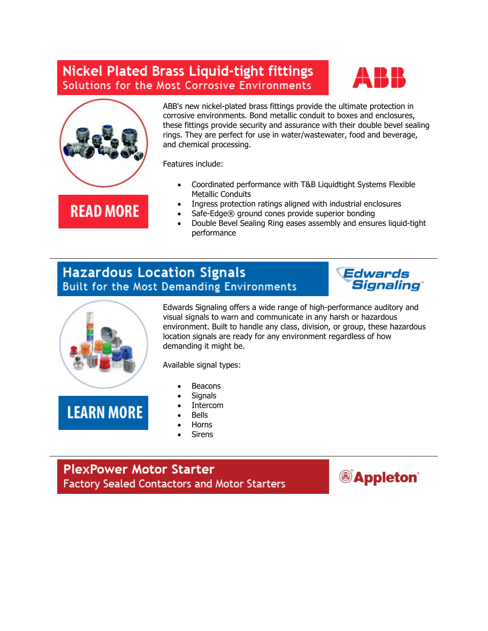## **Nickel Plated Brass Liquid-tight fittings** Solutions for the Most Corrosive Environments





ABB's new nickel-plated brass fittings provide the ultimate protection in corrosive environments. Bond metallic conduit to boxes and enclosures, these fittings provide security and assurance with their double bevel sealing rings. They are perfect for use in water/wastewater, food and beverage, and chemical processing.

Features include:

#### Metallic Conduits • Ingress protection ratings aligned with industrial enclosures **READ MORE**

- Safe-Edge® ground cones provide superior bonding
- Double Bevel Sealing Ring eases assembly and ensures liquid-tight performance

• Coordinated performance with T&B Liquidtight Systems Flexible

### **Hazardous Location Signals** Built for the Most Demanding Environments





Edwards Signaling offers a wide range of high-performance auditory and visual signals to warn and communicate in any harsh or hazardous environment. Built to handle any class, division, or group, these hazardous location signals are ready for any environment regardless of how demanding it might be.

Available signal types:

- **Beacons**
- **Signals**
- **Intercom**
- Bells
- Horns
- **Sirens**

**PlexPower Motor Starter** Factory Sealed Contactors and Motor Starters